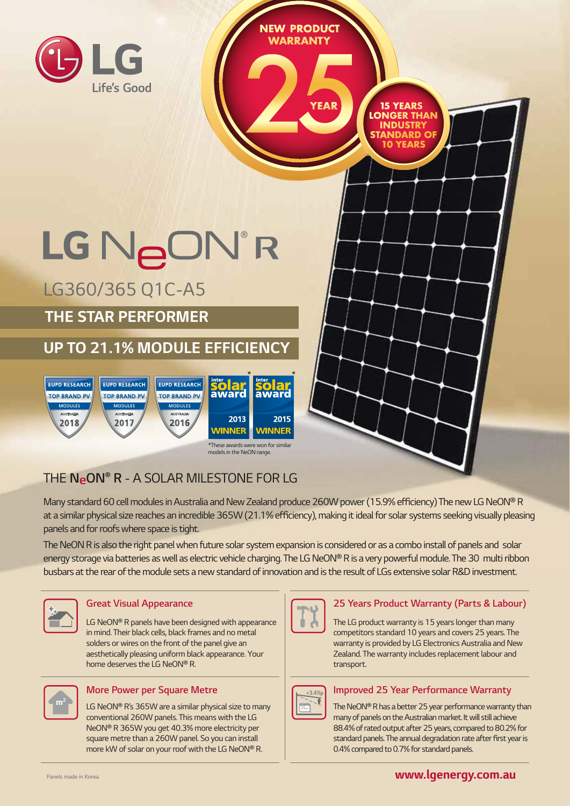

Many standard 60 cell modules in Australia and New Zealand produce 260W power (15.9% efficiency) The new LG NeON® R at a similar physical size reaches an incredible 365W (21.1% efficiency), making it ideal for solar systems seeking visually pleasing *panels and for roofs where space is tight.* 

*The NeON R is also the right panel when future solar system expansion is considered or as a combo install of panels and solar*  energy storage via batteries as well as electric vehicle charging. The LG NeON® R is a very powerful module. The 30 multi ribbon *busbars at the rear of the module sets a new standard of innovation and is the result of LGs extensive solar R&D investment.*



#### *Great Visual Appearance*

LG NeON® R panels have been designed with appearance *in mind. Their black cells, black frames and no metal solders or wires on the front of the panel give an aesthetically pleasing uniform black appearance. Your*  home deserves the LG NeON® R.



#### *More Power per Square Metre*

LG NeON® R's 365W are a similar physical size to many *conventional 260W panels. This means with the LG*  NeON® R 365W you get 40.3% more electricity per *square metre than a 260W panel. So you can install*  more kW of solar on your roof with the LG NeON® R.



#### *25 Years Product Warranty (Parts & Labour)*

*The LG product warranty is 15 years longer than many competitors standard 10 years and covers 25 years. The warranty is provided by LG Electronics Australia and New Zealand. The warranty includes replacement labour and transport.*



#### *Improved 25 Year Performance Warranty*

The NeON® R has a better 25 year performance warranty than *many of panels on the Australian market. It will still achieve 88.4% of rated output after 25 years, compared to 80.2% for*  standard panels. The annual degradation rate after first year is *0.4% compared to 0.7% for standard panels.*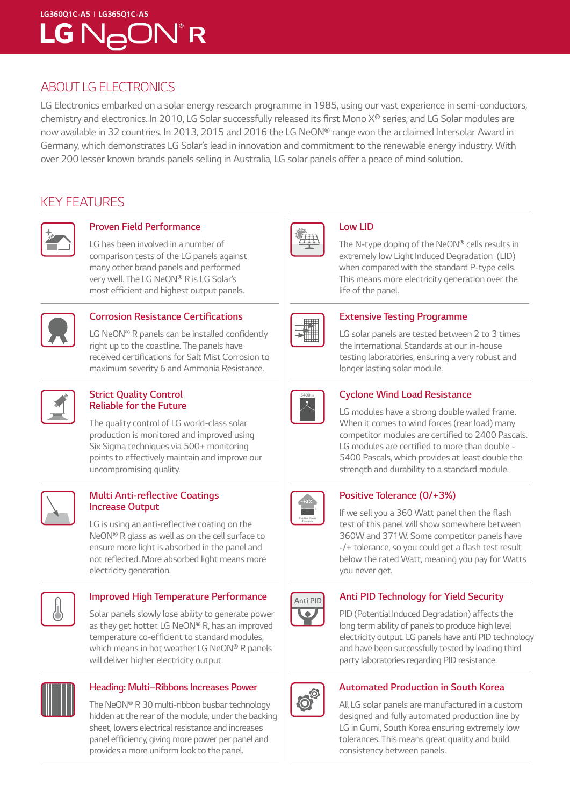# *LG360Q1C-A5 I LG365Q1C-A5* LG N<sub>A</sub>ON®R

### *ABOUT LG ELECTRONICS*

*LG Electronics embarked on a solar energy research programme in 1985, using our vast experience in semi-conductors,*  chemistry and electronics. In 2010, LG Solar successfully released its first Mono X® series, and LG Solar modules are *now available in 32 countries. In 2013, 2015 and 2016 the LG NeON*® *range won the acclaimed Intersolar Award in*  Germany, which demonstrates LG Solar's lead in innovation and commitment to the renewable energy industry. With *over 200 lesser known brands panels selling in Australia, LG solar panels offer a peace of mind solution.* 

### *KEY FEATURES*



# *Proven Field Performance*

*LG has been involved in a number of comparison tests of the LG panels against many other brand panels and performed very well. The LG* NeON® R is LG Solar's most efficient and highest output panels.



#### **Corrosion Resistance Certifications**

*LG NeON*® R panels can be installed confidently *right up to the coastline. The panels have*  received certifications for Salt Mist Corrosion to *maximum severity 6 and Ammonia Resistance.* 



#### *Strict Quality Control Reliable for the Future*

*The quality control of LG world-class solar production is monitored and improved using Six Sigma techniques via 500+ monitoring points to effectively maintain and improve our uncompromising quality.*



#### **Multi Anti-reflective Coatings**  *Increase Output*

LG is using an anti-reflective coating on the NeON® R *glass as well as on the cell surface to ensure more light is absorbed in the panel and*  not reflected. More absorbed light means more *electricity generation.*



#### *Improved High Temperature Performance*

*Solar panels slowly lose ability to generate power as they get hotter. LG* NeON® R*, has an improved*  temperature co-efficient to standard modules, *which means in hot weather LG* NeON® R *panels will deliver higher electricity output.*



#### *Heading: Multi–Ribbons Increases Power*

*The NeON*® *R 30 multi-ribbon busbar technology hidden at the rear of the module, under the backing sheet, lowers electrical resistance and increases*  panel efficiency, giving more power per panel and *provides a more uniform look to the panel.*



#### *Low LID*

*The N-type doping of the NeON*® *cells results in extremely low Light Induced Degradation (LID) when compared with the standard P-type cells. This means more electricity generation over the life of the panel.*



#### *Extensive Testing Programme*

*LG solar panels are tested between 2 to 3 times the International Standards at our in-house testing laboratories, ensuring a very robust and longer lasting solar module.* 



#### *Cyclone Wind Load Resistance*

*LG modules have a strong double walled frame. When it comes to wind forces (rear load) many*  competitor modules are certified to 2400 Pascals. LG modules are certified to more than double - *5400 Pascals, which provides at least double the strength and durability to a standard module.*



#### **Positive Tolerance (0/+3%)**

If we sell you a 360 Watt panel then the flash *test of this panel will show somewhere between 360W and 371W. Some competitor panels have*  -/+ tolerance, so you could get a flash test result *below the rated Watt, meaning you pay for Watts you never get.*



#### *Anti PID Technology for Yield Security*

*PID (Potential Induced Degradation) affects the long term ability of panels to produce high level electricity output. LG panels have anti PID technology and have been successfully tested by leading third party laboratories regarding PID resistance.*



#### *Automated Production in South Korea*

*All LG solar panels are manufactured in a custom designed and fully automated production line by LG in Gumi, South Korea ensuring extremely low tolerances. This means great quality and build consistency between panels.*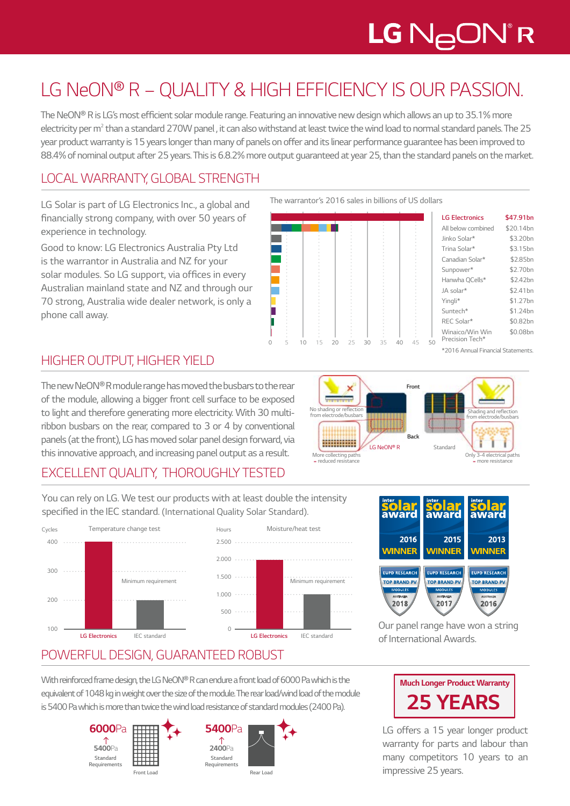# LG N<sub>A</sub>ON®R

# *LG NeON® R – QUALITY & HIGH EFFICIENCY IS OUR PASSION.*

The NeON® R is LG's most efficient solar module range. Featuring an innovative new design which allows an up to 35.1% more electricity per m<sup>2</sup> than a standard 270W panel, it can also withstand at least twice the wind load to normal standard panels. The 25 *year product warranty is 15 years longer than many of panels on offer and its linear performance guarantee has been improved to 88.4% of nominal output after 25 years. This is 6.8.2% more output guaranteed at year 25, than the standard panels on the market.*

## *LOCAL WARRANTY, GLOBAL STRENGTH*

*LG Solar is part of LG Electronics Inc., a global and*  financially strong company, with over 50 years of *experience in technology.* 

*Good to know: LG Electronics Australia Pty Ltd is the warrantor in Australia and NZ for your*  solar modules. So LG support, via offices in every *Australian mainland state and NZ and through our 70 strong, Australia wide dealer network, is only a phone call away.* 

*The warrantor's 2016 sales in billions of US dollars* 



| <b>LG Electronics</b>              | \$47.91bn            |
|------------------------------------|----------------------|
| All below combined                 | \$20.14bn            |
| Jinko Solar*                       | \$3.20bn             |
| Trina Solar*                       | \$3.15bn             |
| Canadian Solar*                    | \$2.85bn             |
| Sunpower*                          | \$2.70bn             |
| Hanwha OCells*                     | \$2.42bn             |
| JA solar*                          | \$2.41 <sub>bn</sub> |
| Yingli*                            | \$1.27 <sub>bn</sub> |
| Suntech*                           | \$1.24bn             |
| REC Solar*                         | \$0.82bn             |
| Winaico/Win Win<br>Precision Tech* | \$0.08 <sub>bn</sub> |

*\*2016 Annual Financial Statements.*

# *HIGHER OUTPUT, HIGHER YIELD*

The new NeON® R module range has moved the busbars to the rear *of the module, allowing a bigger front cell surface to be exposed to light and therefore generating more electricity. With 30 multi*ribbon busbars on the rear, compared to 3 or 4 by conventional *panels (at the front), LG has moved solar panel design forward, via this innovative approach, and increasing panel output as a result.* 

*Front* × € No shading or reflection *from electrode/busbars* Shading and reflection **from electrode/busbars** Shading and reflection *from electrode/busbars Back* ì \*\*\*\*\*\*\*\*\*\* ī ī LG NeON® R *Standard* More collecting path<br>reduced resistance *= reduced resistance Only 3-4 electrical paths = more resistance*

# *EXCELLENT QUALITY, THOROUGHLY TESTED*

*You can rely on LG. We test our products with at least double the intensity*  specified in the IEC standard*. (International Quality Solar Standard).*

*Hours*







*Our panel range have won a string of International Awards.*

# *POWERFUL DESIGN, GUARANTEED ROBUST*

With reinforced frame design, the LG NeON® R can endure a front load of 6000 Pa which is the equivalent of 1048 kg in weight over the size of the module. The rear load/wind load of the module *is 5400 Pa which is more than twice the wind load resistance of standard modules (2400 Pa).*





*LG offers a 15 year longer product warranty for parts and labour than many competitors 10 years to an impressive 25 years.*